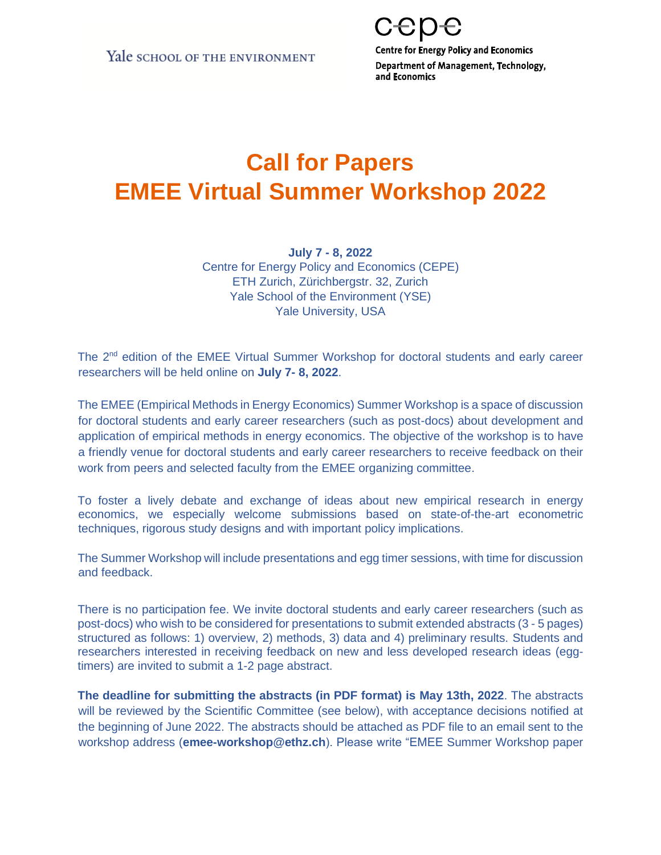**Centre for Energy Policy and Economics** Department of Management, Technology, and Economics

## **Call for Papers EMEE Virtual Summer Workshop 2022**

**July 7 - 8, 2022** Centre for Energy Policy and Economics (CEPE) ETH Zurich, Zürichbergstr. 32, Zurich Yale School of the Environment (YSE) Yale University, USA

The 2<sup>nd</sup> edition of the EMEE Virtual Summer Workshop for doctoral students and early career researchers will be held online on **July 7- 8, 2022**.

The EMEE (Empirical Methods in Energy Economics) Summer Workshop is a space of discussion for doctoral students and early career researchers (such as post-docs) about development and application of empirical methods in energy economics. The objective of the workshop is to have a friendly venue for doctoral students and early career researchers to receive feedback on their work from peers and selected faculty from the EMEE organizing committee.

To foster a lively debate and exchange of ideas about new empirical research in energy economics, we especially welcome submissions based on state-of-the-art econometric techniques, rigorous study designs and with important policy implications.

The Summer Workshop will include presentations and egg timer sessions, with time for discussion and feedback.

There is no participation fee. We invite doctoral students and early career researchers (such as post-docs) who wish to be considered for presentations to submit extended abstracts (3 - 5 pages) structured as follows: 1) overview, 2) methods, 3) data and 4) preliminary results. Students and researchers interested in receiving feedback on new and less developed research ideas (eggtimers) are invited to submit a 1-2 page abstract.

**The deadline for submitting the abstracts (in PDF format) is May 13th, 2022**. The abstracts will be reviewed by the Scientific Committee (see below), with acceptance decisions notified at the beginning of June 2022. The abstracts should be attached as PDF file to an email sent to the workshop address (**emee-workshop@ethz.ch**). Please write "EMEE Summer Workshop paper